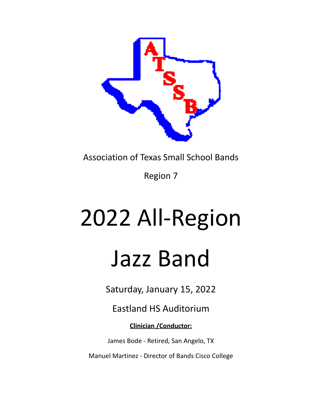

Association of Texas Small School Bands

Region 7

# 2022 All-Region Jazz Band

Saturday, January 15, 2022

Eastland HS Auditorium

**Clinician /Conductor:**

James Bode - Retired, San Angelo, TX

Manuel Martinez - Director of Bands Cisco College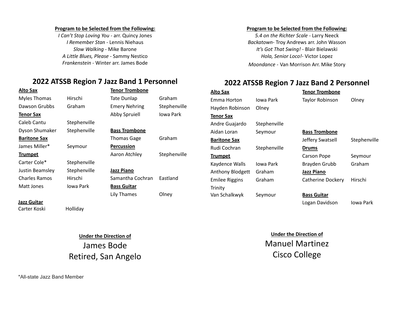#### **Program to be Selected from the Following:**

*I Can't Stop Loving You -* arr. Quincy Jones *I Remember Stan* - Lennis Niehaus *Slow Walking* - Mike Barone *A Little Blues, Please -* Sammy Nestico *Frankenstein -* Winter arr. James Bode

# **2022 ATSSB Region 7 Jazz Band 1 Personnel**

| Alto Sax             |              | Tenor Trombone       |              |
|----------------------|--------------|----------------------|--------------|
| <b>Myles Thomas</b>  | Hirschi      | Tate Dunlap          | Graham       |
| Dawson Grubbs        | Graham       | <b>Emery Nehring</b> | Stephenville |
| Tenor Sax            |              | Abby Spruiell        | Jowa Park    |
| Caleb Cantu          | Stephenville |                      |              |
| Dyson Shumaker       | Stephenville | <b>Bass Trombone</b> |              |
| <b>Baritone Sax</b>  |              | Thomas Gage          | Graham       |
| James Miller*        | Seymour      | <b>Percussion</b>    |              |
| <u>Trumpet</u>       |              | Aaron Atchley        | Stephenville |
| Carter Cole*         | Stephenville |                      |              |
| Justin Beamsley      | Stephenville | Jazz Piano           |              |
| <b>Charles Ramos</b> | Hirschi      | Samantha Cochran     | Fastland     |
| Matt Jones           | Jowa Park    | <b>Bass Guitar</b>   |              |
|                      |              | Lily Thames          | Olney        |
| Jazz Guitar          |              |                      |              |
|                      |              |                      |              |

Carter Koski Holliday

**Under the Direction of** James Bode

Retired, San Angelo

#### **Program to be Selected from the Following:**

*5.4 on the Richter Scale -* Larry Neeck *Backatown*- Troy Andrews arr. John Wasson *It's Got That Swing!* - Blair Bielawski *Hola, Senior Loco!*- Victor Lopez *Moondance* - Van Morrison Arr. Mike Story

# **2022 ATSSB Region 7 Jazz Band 2 Personnel**

| <u>Alto Sax</u>       |              | <b>Tenor Trombone</b>  |              |
|-----------------------|--------------|------------------------|--------------|
| Emma Horton           | Jowa Park    | <b>Taylor Robinson</b> | Olney        |
| Hayden Robinson       | Olney        |                        |              |
| Tenor Sax             |              |                        |              |
| Andre Guajardo        | Stephenville |                        |              |
| Aidan Loran           | Seymour      | <b>Bass Trombone</b>   |              |
| <b>Baritone Sax</b>   |              | Jeffery Swatsell       | Stephenville |
| Rudi Cochran          | Stephenville | Drums                  |              |
| <b>Trumpet</b>        |              | Carson Pope            | Seymour      |
| Kaydence Walls        | Jowa Park    | Brayden Grubb          | Graham       |
| Anthony Blodgett      | Graham       | <b>Jazz Piano</b>      |              |
| <b>Emilee Riggins</b> | Graham       | Catherine Dockery      | Hirschi      |
| Trinity               |              |                        |              |
| Van Schalkwyk         | Seymour      | <b>Bass Guitar</b>     |              |
|                       |              | Logan Davidson         | Jowa Park    |

**Under the Direction of** Manuel Martinez Cisco College

\*All-state Jazz Band Member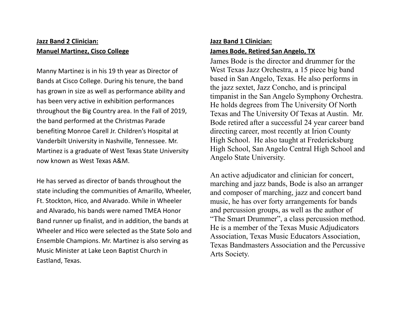# **Jazz Band 2 Clinician: Manuel Martinez, Cisco College**

Manny Martinez is in his 19 th year as Director of Bands at Cisco College. During his tenure, the band has grown in size as well as performance ability and has been very active in exhibition performances throughout the Big Country area. In the Fall of 2019, the band performed at the Christmas Parade benefiting Monroe Carell Jr. Children's Hospital at Vanderbilt University in Nashville, Tennessee. Mr. Martinez is a graduate of West Texas State University now known as West Texas A&M.

He has served as director of bands throughout the state including the communities of Amarillo, Wheeler, Ft. Stockton, Hico, and Alvarado. While in Wheeler and Alvarado, his bands were named TMEA Honor Band runner up finalist, and in addition, the bands at Wheeler and Hico were selected as the State Solo and Ensemble Champions. Mr. Martinez is also serving as Music Minister at Lake Leon Baptist Church in Eastland, Texas.

### **Jazz Band 1 Clinician:**

#### **James Bode, Retired San Angelo, TX**

James Bode is the director and drummer for the West Texas Jazz Orchestra, a 15 piece big band based in San Angelo, Texas. He also performs in the jazz sextet, Jazz Concho, and is principal timpanist in the San Angelo Symphony Orchestra. He holds degrees from The University Of North Texas and The University Of Texas at Austin. Mr. Bode retired after a successful 24 year career band directing career, most recently at Irion County High School. He also taught at Fredericksburg High School, San Angelo Central High School and Angelo State University.

An active adjudicator and clinician for concert, marching and jazz bands, Bode is also an arranger and composer of marching, jazz and concert band music, he has over forty arrangements for bands and percussion groups, as well as the author of "The Smart Drummer", a class percussion method. He is a member of the Texas Music Adjudicators Association, Texas Music Educators Association, Texas Bandmasters Association and the Percussive Arts Society.